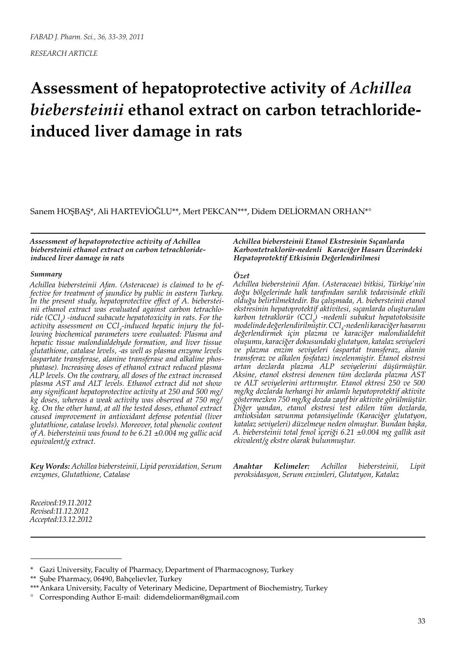*RESEARCH ARTICLE*

# **Assessment of hepatoprotective activity of** *Achillea biebersteinii* **ethanol extract on carbon tetrachlorideinduced liver damage in rats**

Sanem HOŞBAŞ\*, Ali HARTEVİOĞLU\*\*, Mert PEKCAN\*\*\*, Didem DELİORMAN ORHAN\*°

*Assessment of hepatoprotective activity of Achillea biebersteinii ethanol extract on carbon tetrachlorideinduced liver damage in rats*

#### *Summary*

*Achillea biebersteinii Afan. (Asteraceae) is claimed to be effective for treatment of jaundice by public in eastern Turkey. In the present study, hepatoprotective effect of A. biebersteinii ethanol extract was evaluated against carbon tetrachloride (CCl4 ) -induced subacute hepatotoxicity in rats. For the*  activity assessment on CCl<sub>4</sub>-induced hepatic injury the fol*lowing biochemical parameters were evaluated: Plasma and hepatic tissue malondialdehyde formation, and liver tissue glutathione, catalase levels, -as well as plasma enzyme levels (aspartate transferase, alanine transferase and alkaline phosphatase). Increasing doses of ethanol extract reduced plasma ALP levels. On the contrary, all doses of the extract increased plasma AST and ALT levels. Ethanol extract did not show any significant hepatoprotective activity at 250 and 500 mg/ kg doses, whereas a weak activity was observed at 750 mg/ kg. On the other hand, at all the tested doses, ethanol extract caused improvement in antioxidant defense potential (liver glutathione, catalase levels). Moreover, total phenolic content of A. biebersteinii was found to be 6.21 ±0.004 mg gallic acid equivalent/g extract.*

*Key Words: Achillea biebersteinii, Lipid peroxidation, Serum enzymes, Glutathione, Catalase*

*Achillea biebersteinii Etanol Ekstresinin Sıçanlarda Karbontetraklorür-nedenli Karaciğer Hasarı Üzerindeki Hepatoprotektif Etkisinin Değerlendirilmesi*

#### *Özet*

*Achillea biebersteinii Afan. (Asteraceae) bitkisi, Türkiye'nin doğu bölgelerinde halk tarafından sarılık tedavisinde etkili olduğu belirtilmektedir. Bu çalışmada, A. biebersteinii etanol ekstresinin hepatoprotektif aktivitesi, sıçanlarda oluşturulan karbon tetraklorür (CCl4 ) -nedenli subakut hepatotoksisite modelinde değerlendirilmiştir. CCl4 -nedenli karaciğer hasarını değerlendirmek için plazma ve karaciğer malondialdehit oluşumu, karaciğer dokusundaki glutatyon, katalaz seviyeleri ve plazma enzim seviyeleri (aspartat transferaz, alanin transferaz ve alkalen fosfataz) incelenmiştir. Etanol ekstresi artan dozlarda plazma ALP seviyelerini düşürmüştür. Aksine, etanol ekstresi denenen tüm dozlarda plazma AST ve ALT seviyelerini arttırmıştır. Etanol ektresi 250 ve 500 mg/kg dozlarda herhangi bir anlamlı hepatoprotektif aktivite göstermezken 750 mg/kg dozda zayıf bir aktivite görülmüştür. Diğer yandan, etanol ekstresi test edilen tüm dozlarda, antioksidan savunma potansiyelinde (Karaciğer glutatyon, katalaz seviyeleri) düzelmeye neden olmuştur. Bundan başka, A. biebersteinii total fenol içeriği 6.21 ±0.004 mg gallik asit ekivalent/g ekstre olarak bulunmuştur.*

*Anahtar Kelimeler: Achillea biebersteinii, Lipit peroksidasyon, Serum enzimleri, Glutatyon, Katalaz*

*Received:19.11.2012 Revised:11.12.2012 Accepted:13.12.2012*

<sup>\*</sup> Gazi University, Faculty of Pharmacy, Department of Pharmacognosy, Turkey

<sup>\*\*</sup> Şube Pharmacy, 06490, Bahçelievler, Turkey

<sup>\*\*\*</sup>Ankara University, Faculty of Veterinary Medicine, Department of Biochemistry, Turkey

<sup>°</sup> Corresponding Author E-mail: didemdeliorman@gmail.com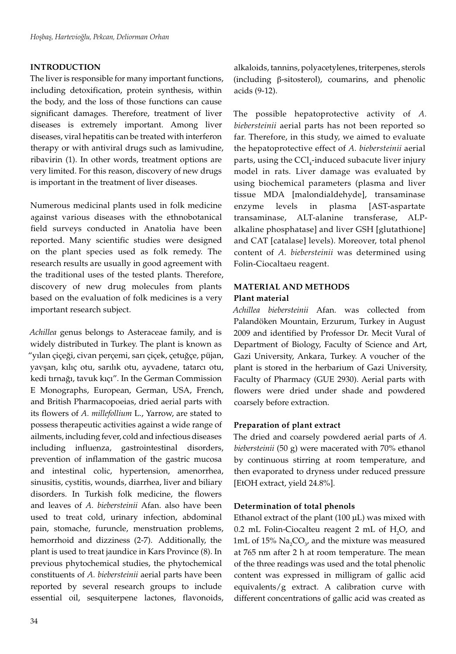## **INTRODUCTION**

The liver is responsible for many important functions, including detoxification, protein synthesis, within the body, and the loss of those functions can cause significant damages. Therefore, treatment of liver diseases is extremely important. Among liver diseases, viral hepatitis can be treated with interferon therapy or with antiviral drugs such as lamivudine, ribavirin (1). In other words, treatment options are very limited. For this reason, discovery of new drugs is important in the treatment of liver diseases.

Numerous medicinal plants used in folk medicine against various diseases with the ethnobotanical field surveys conducted in Anatolia have been reported. Many scientific studies were designed on the plant species used as folk remedy. The research results are usually in good agreement with the traditional uses of the tested plants. Therefore, discovery of new drug molecules from plants based on the evaluation of folk medicines is a very important research subject.

*Achillea* genus belongs to Asteraceae family, and is widely distributed in Turkey. The plant is known as "yılan çiçeği, civan perçemi, sarı çiçek, çetuğçe, püjan, yavşan, kılıç otu, sarılık otu, ayvadene, tatarcı otu, kedi tırnağı, tavuk kıçı". In the German Commission E Monographs, European, German, USA, French, and British Pharmacopoeias, dried aerial parts with its flowers of *A. millefollium* L., Yarrow, are stated to possess therapeutic activities against a wide range of ailments, including fever, cold and infectious diseases including influenza, gastrointestinal disorders, prevention of inflammation of the gastric mucosa and intestinal colic, hypertension, amenorrhea, sinusitis, cystitis, wounds, diarrhea, liver and biliary disorders. In Turkish folk medicine, the flowers and leaves of *A. biebersteinii* Afan. also have been used to treat cold, urinary infection, abdominal pain, stomache, furuncle, menstruation problems, hemorrhoid and dizziness (2-7). Additionally, the plant is used to treat jaundice in Kars Province (8). In previous phytochemical studies, the phytochemical constituents of *A. biebersteinii* aerial parts have been reported by several research groups to include essential oil, sesquiterpene lactones, flavonoids, alkaloids, tannins, polyacetylenes, triterpenes, sterols (including β-sitosterol), coumarins, and phenolic acids (9-12).

The possible hepatoprotective activity of *A. biebersteinii* aerial parts has not been reported so far. Therefore, in this study, we aimed to evaluate the hepatoprotective effect of *A. biebersteinii* aerial parts, using the  $\text{CCl}_{\text{4}}$ -induced subacute liver injury model in rats. Liver damage was evaluated by using biochemical parameters (plasma and liver tissue MDA [malondialdehyde], transaminase enzyme levels in plasma [AST-aspartate transaminase, ALT-alanine transferase, ALPalkaline phosphatase] and liver GSH [glutathione] and CAT [catalase] levels). Moreover, total phenol content of *A. biebersteinii* was determined using Folin-Ciocaltaeu reagent.

## **MATERIAL AND METHODS**

## **Plant material**

*Achillea biebersteinii* Afan. was collected from Palandöken Mountain, Erzurum, Turkey in August 2009 and identified by Professor Dr. Mecit Vural of Department of Biology, Faculty of Science and Art, Gazi University, Ankara, Turkey. A voucher of the plant is stored in the herbarium of Gazi University, Faculty of Pharmacy (GUE 2930). Aerial parts with flowers were dried under shade and powdered coarsely before extraction.

## **Preparation of plant extract**

The dried and coarsely powdered aerial parts of *A. biebersteinii* (50 g) were macerated with 70% ethanol by continuous stirring at room temperature, and then evaporated to dryness under reduced pressure [EtOH extract, yield 24.8%].

## **Determination of total phenols**

Ethanol extract of the plant (100 µL) was mixed with 0.2 mL Folin-Ciocalteu reagent 2 mL of  $H_2O$ , and 1mL of 15%  $\text{Na}_2\text{CO}_3$ , and the mixture was measured at 765 nm after 2 h at room temperature. The mean of the three readings was used and the total phenolic content was expressed in milligram of gallic acid equivalents/g extract. A calibration curve with different concentrations of gallic acid was created as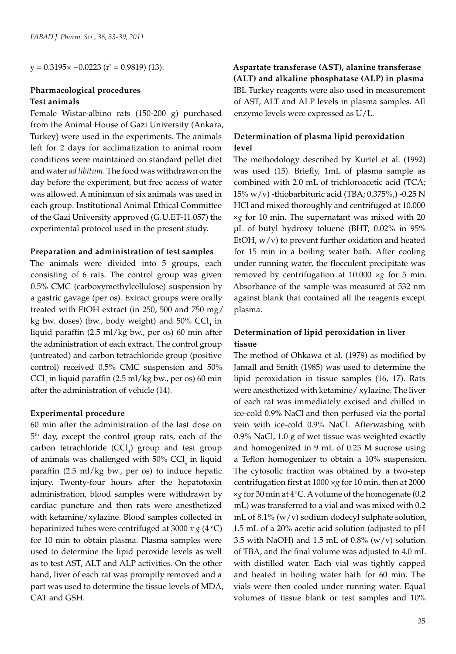$y = 0.3195 \times -0.0223$  (r<sup>2</sup> = 0.9819) (13).

#### **Pharmacological procedures Test animals**

Female Wistar-albino rats (150-200 g) purchased from the Animal House of Gazi University (Ankara, Turkey) were used in the experiments. The animals left for 2 days for acclimatization to animal room conditions were maintained on standard pellet diet and water *ad libitum*. The food was withdrawn on the day before the experiment, but free access of water was allowed. A minimum of six animals was used in each group. Institutional Animal Ethical Committee of the Gazi University approved (G.U.ET-11.057) the experimental protocol used in the present study.

#### **Preparation and administration of test samples**

The animals were divided into 5 groups, each consisting of 6 rats. The control group was given 0.5% CMC (carboxymethylcellulose) suspension by a gastric gavage (per os). Extract groups were orally treated with EtOH extract (in 250, 500 and 750 mg/ kg bw. doses) (bw., body weight) and  $50\%$  CCl<sub>4</sub> in liquid paraffin (2.5 ml/kg bw., per os) 60 min after the administration of each extract. The control group (untreated) and carbon tetrachloride group (positive control) received 0.5% CMC suspension and 50%  $\text{CCl}_4$  in liquid paraffin (2.5 ml/kg bw., per os) 60 min after the administration of vehicle (14).

#### **Experimental procedure**

60 min after the administration of the last dose on 5<sup>th</sup> day, except the control group rats, each of the  $carbon$  tetrachloride  $(CCl<sub>4</sub>)$  group and test group of animals was challenged with  $50\%$  CCl<sub>4</sub> in liquid paraffin (2.5 ml/kg bw., per os) to induce hepatic injury. Twenty-four hours after the hepatotoxin administration, blood samples were withdrawn by cardiac puncture and then rats were anesthetized with ketamine/xylazine. Blood samples collected in heparinized tubes were centrifuged at 3000  $x g$  (4 °C) for 10 min to obtain plasma. Plasma samples were used to determine the lipid peroxide levels as well as to test AST, ALT and ALP activities. On the other hand, liver of each rat was promptly removed and a part was used to determine the tissue levels of MDA, CAT and GSH.

## **Aspartate transferase (AST), alanine transferase (ALT) and alkaline phosphatase (ALP) in plasma** IBL Turkey reagents were also used in measurement of AST, ALT and ALP levels in plasma samples. All enzyme levels were expressed as U/L.

## **Determination of plasma lipid peroxidation level**

The methodology described by Kurtel et al. (1992) was used (15). Briefly, 1mL of plasma sample as combined with 2.0 mL of trichloroacetic acid (TCA; 15% w/v) -thiobarbituric acid (TBA; 0.375%,) -0.25 N HCl and mixed thoroughly and centrifuged at 10.000 ×*g* for 10 min. The supernatant was mixed with 20 µL of butyl hydroxy toluene (BHT; 0.02% in 95% EtOH,  $w/v$ ) to prevent further oxidation and heated for 15 min in a boiling water bath. After cooling under running water, the flocculent precipitate was removed by centrifugation at 10.000 ×*g* for 5 min. Absorbance of the sample was measured at 532 nm against blank that contained all the reagents except plasma.

## **Determination of lipid peroxidation in liver tissue**

The method of Ohkawa et al. (1979) as modified by Jamall and Smith (1985) was used to determine the lipid peroxidation in tissue samples (16, 17). Rats were anesthetized with ketamine/ xylazine. The liver of each rat was immediately excised and chilled in ice-cold 0.9% NaCl and then perfused via the portal vein with ice-cold 0.9% NaCl. Afterwashing with 0.9% NaCl, 1.0 g of wet tissue was weighted exactly and homogenized in 9 mL of 0.25 M sucrose using a Teflon homogenizer to obtain a 10% suspension. The cytosolic fraction was obtained by a two-step centrifugation first at 1000 ×*g* for 10 min, then at 2000 ×*g* for 30 min at 4°C. A volume of the homogenate (0.2 mL) was transferred to a vial and was mixed with 0.2 mL of  $8.1\%$  (w/v) sodium dodecyl sulphate solution, 1.5 mL of a 20% acetic acid solution (adjusted to pH 3.5 with NaOH) and 1.5 mL of  $0.8\%$  (w/v) solution of TBA, and the final volume was adjusted to 4.0 mL with distilled water. Each vial was tightly capped and heated in boiling water bath for 60 min. The vials were then cooled under running water. Equal volumes of tissue blank or test samples and 10%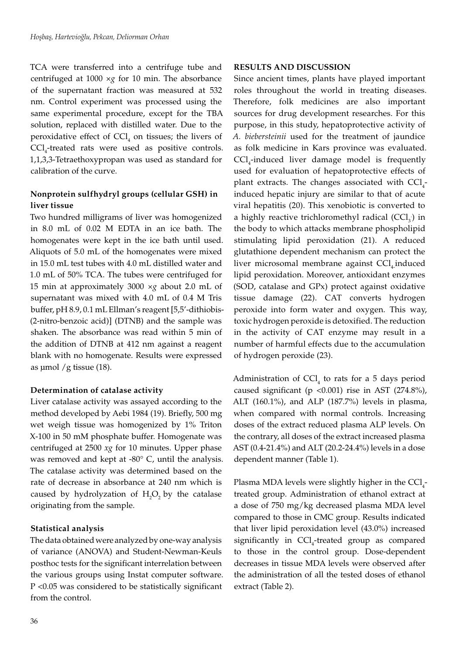TCA were transferred into a centrifuge tube and centrifuged at 1000 ×*g* for 10 min. The absorbance of the supernatant fraction was measured at 532 nm. Control experiment was processed using the same experimental procedure, except for the TBA solution, replaced with distilled water. Due to the peroxidative effect of  $\text{CCl}_4$  on tissues; the livers of CCl<sub>4</sub>-treated rats were used as positive controls. 1,1,3,3-Tetraethoxypropan was used as standard for calibration of the curve.

## **Nonprotein sulfhydryl groups (cellular GSH) in liver tissue**

Two hundred milligrams of liver was homogenized in 8.0 mL of 0.02 M EDTA in an ice bath. The homogenates were kept in the ice bath until used. Aliquots of 5.0 mL of the homogenates were mixed in 15.0 mL test tubes with 4.0 mL distilled water and 1.0 mL of 50% TCA. The tubes were centrifuged for 15 min at approximately 3000 ×*g* about 2.0 mL of supernatant was mixed with 4.0 mL of 0.4 M Tris buffer, pH 8.9, 0.1 mL Ellman's reagent [5,5'-dithiobis- (2-nitro-benzoic acid)] (DTNB) and the sample was shaken. The absorbance was read within 5 min of the addition of DTNB at 412 nm against a reagent blank with no homogenate. Results were expressed as  $\mu$ mol /g tissue (18).

## **Determination of catalase activity**

Liver catalase activity was assayed according to the method developed by Aebi 1984 (19). Briefly, 500 mg wet weigh tissue was homogenized by 1% Triton X-100 in 50 mM phosphate buffer. Homogenate was centrifuged at 2500 *xg* for 10 minutes. Upper phase was removed and kept at -80° C, until the analysis. The catalase activity was determined based on the rate of decrease in absorbance at 240 nm which is caused by hydrolyzation of  $H_2O_2$  by the catalase originating from the sample.

## **Statistical analysis**

The data obtained were analyzed by one-way analysis of variance (ANOVA) and Student-Newman-Keuls posthoc tests for the significant interrelation between the various groups using Instat computer software. P <0.05 was considered to be statistically significant from the control.

## **RESULTS AND DISCUSSION**

Since ancient times, plants have played important roles throughout the world in treating diseases. Therefore, folk medicines are also important sources for drug development researches. For this purpose, in this study, hepatoprotective activity of *A. biebersteinii* used for the treatment of jaundice as folk medicine in Kars province was evaluated.  $\text{CCl}_4$ -induced liver damage model is frequently used for evaluation of hepatoprotective effects of plant extracts. The changes associated with  $\text{CCl}_4$ induced hepatic injury are similar to that of acute viral hepatitis (20). This xenobiotic is converted to a highly reactive trichloromethyl radical  $(CCl<sub>3</sub>)$  in the body to which attacks membrane phospholipid stimulating lipid peroxidation (21). A reduced glutathione dependent mechanism can protect the liver microsomal membrane against CCl<sub>4</sub> induced lipid peroxidation. Moreover, antioxidant enzymes (SOD, catalase and GPx) protect against oxidative tissue damage (22). CAT converts hydrogen peroxide into form water and oxygen. This way, toxic hydrogen peroxide is detoxified. The reduction in the activity of CAT enzyme may result in a number of harmful effects due to the accumulation of hydrogen peroxide (23).

Administration of  $CCl_4$  to rats for a 5 days period caused significant (p < $0.001$ ) rise in AST (274.8%), ALT (160.1%), and ALP (187.7%) levels in plasma, when compared with normal controls. Increasing doses of the extract reduced plasma ALP levels. On the contrary, all doses of the extract increased plasma AST (0.4-21.4%) and ALT (20.2-24.4%) levels in a dose dependent manner (Table 1).

Plasma MDA levels were slightly higher in the  $\text{CCl}_4$ treated group. Administration of ethanol extract at a dose of 750 mg/kg decreased plasma MDA level compared to those in CMC group. Results indicated that liver lipid peroxidation level (43.0%) increased significantly in CCl<sub>4</sub>-treated group as compared to those in the control group. Dose-dependent decreases in tissue MDA levels were observed after the administration of all the tested doses of ethanol extract (Table 2).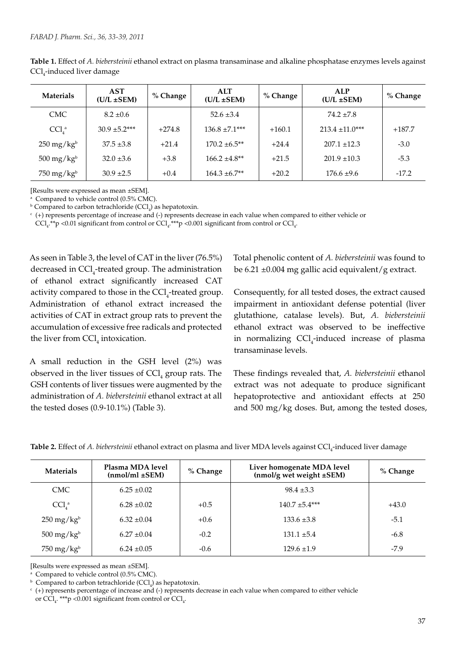| <b>Materials</b>              | <b>AST</b><br>$(U/L \pm SEM)$ | % Change | <b>ALT</b><br>$(U/L \pm SEM)$ | % Change | <b>ALP</b><br>$(U/L \pm SEM)$ | % Change |
|-------------------------------|-------------------------------|----------|-------------------------------|----------|-------------------------------|----------|
| <b>CMC</b>                    | $8.2 \pm 0.6$                 |          | $52.6 \pm 3.4$                |          | $74.2 \pm 7.8$                |          |
| CCl <sub>A</sub> <sup>a</sup> | $30.9 \pm 5.2***$             | $+274.8$ | $136.8 \pm 7.1***$            | $+160.1$ | $213.4 \pm 11.0***$           | $+187.7$ |
| $250 \,\mathrm{mg/kg}^b$      | $37.5 \pm 3.8$                | $+21.4$  | $170.2 \pm 6.5**$             | $+24.4$  | $207.1 \pm 12.3$              | $-3.0$   |
| $500 \,\mathrm{mg/kg}^b$      | $32.0 \pm 3.6$                | $+3.8$   | $166.2 \pm 4.8**$             | $+21.5$  | $201.9 \pm 10.3$              | $-5.3$   |
| $750 \text{ mg/kg}^b$         | $30.9 \pm 2.5$                | $+0.4$   | $164.3 \pm 6.7**$             | $+20.2$  | $176.6 \pm 9.6$               | $-17.2$  |

**Table 1.** Effect of *A. biebersteinii* ethanol extract on plasma transaminase and alkaline phosphatase enzymes levels against CCl<sub>4</sub>-induced liver damage

[Results were expressed as mean ±SEM].

<sup>a</sup> Compared to vehicle control (0.5% CMC).

 $\rm^b$  Compared to carbon tetrachloride (CCl<sub>4</sub>) as hepatotoxin.

c (+) represents percentage of increase and (-) represents decrease in each value when compared to either vehicle or

 $\text{CCl}_{4}$ .\*\*p <0.01 significant from control or  $\text{CCl}_{4}$ .\*\*\*p <0.001 significant from control or  $\text{CCl}_{4}$ .

As seen in Table 3, the level of CAT in the liver (76.5%) decreased in CCl<sub>4</sub>-treated group. The administration of ethanol extract significantly increased CAT activity compared to those in the  $\text{CCl}_4$ -treated group. Administration of ethanol extract increased the activities of CAT in extract group rats to prevent the accumulation of excessive free radicals and protected the liver from  $\text{CCl}_4$  intoxication.

A small reduction in the GSH level (2%) was observed in the liver tissues of  $\text{CCl}_4$  group rats. The GSH contents of liver tissues were augmented by the administration of *A. biebersteinii* ethanol extract at all the tested doses (0.9-10.1%) (Table 3).

Total phenolic content of *A. biebersteinii* was found to be 6.21 ±0.004 mg gallic acid equivalent/g extract.

Consequently, for all tested doses, the extract caused impairment in antioxidant defense potential (liver glutathione, catalase levels). But, *A. biebersteinii* ethanol extract was observed to be ineffective in normalizing  $CCl_4$ -induced increase of plasma transaminase levels.

These findings revealed that, *A. biebersteinii* ethanol extract was not adequate to produce significant hepatoprotective and antioxidant effects at 250 and 500 mg/kg doses. But, among the tested doses,

| <b>Materials</b>              | Plasma MDA level<br>$(nmol/ml \pm SEM)$ |        | Liver homogenate MDA level<br>(nmol/g wet weight ±SEM) | % Change |
|-------------------------------|-----------------------------------------|--------|--------------------------------------------------------|----------|
| <b>CMC</b>                    | $6.25 \pm 0.02$                         |        | $98.4 \pm 3.3$                                         |          |
| CCl <sub>4</sub> <sup>a</sup> | $6.28 \pm 0.02$                         | $+0.5$ | $140.7 \pm 5.4***$                                     | $+43.0$  |
| $250 \text{ mg/kg}^b$         | $6.32 \pm 0.04$                         | $+0.6$ | $133.6 \pm 3.8$                                        | $-5.1$   |
| $500 \text{ mg/kg}^b$         | $6.27 \pm 0.04$                         | $-0.2$ | $131.1 \pm 5.4$                                        | $-6.8$   |
| $750 \text{ mg/kg}^b$         | $6.24 \pm 0.05$                         | $-0.6$ | $129.6 \pm 1.9$                                        | $-7.9$   |

[Results were expressed as mean ±SEM].

<sup>a</sup> Compared to vehicle control (0.5% CMC).

 $\Phi$  Compared to carbon tetrachloride (CCl<sub>4</sub>) as hepatotoxin.

 $c_{(+)}$  represents percentage of increase and (-) represents decrease in each value when compared to either vehicle

or  $\text{CCl}_{4}$ . \*\*\*p <0.001 significant from control or  $\text{CCl}_{4}$ .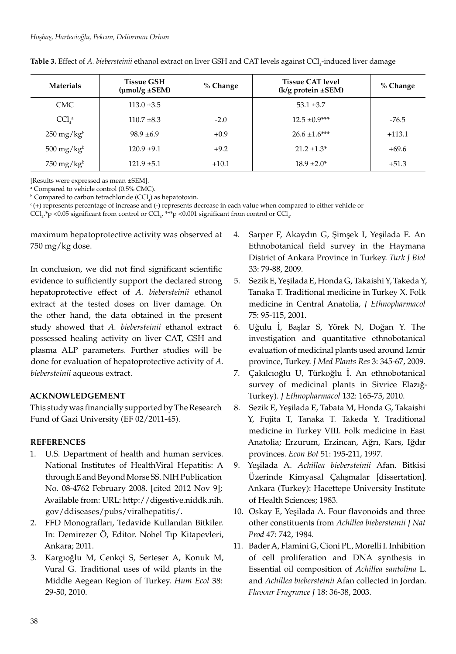| <b>Materials</b>              | <b>Tissue GSH</b><br>$(\mu \text{mol/g} \pm \text{SEM})$ | % Change | <b>Tissue CAT level</b><br>$(k/g$ protein $\pm$ SEM) | % Change |
|-------------------------------|----------------------------------------------------------|----------|------------------------------------------------------|----------|
| CMC.                          | $113.0 \pm 3.5$                                          |          | $53.1 \pm 3.7$                                       |          |
| CCl <sub>A</sub> <sup>a</sup> | $110.7 \pm 8.3$                                          | $-2.0$   | $12.5 \pm 0.9***$                                    | $-76.5$  |
| $250 \,\mathrm{mg/kg}^b$      | $98.9 \pm 6.9$                                           | $+0.9$   | $26.6 \pm 1.6***$                                    | $+113.1$ |
| $500 \,\mathrm{mg/kg^b}$      | $120.9 + 9.1$                                            | $+9.2$   | $21.2 \pm 1.3^*$                                     | $+69.6$  |
| $750 \text{ mg/kg}^b$         | $121.9 \pm 5.1$                                          | $+10.1$  | $18.9 \pm 2.0^*$                                     | $+51.3$  |

**Table 3.** Effect of *A. biebersteinii* ethanol extract on liver GSH and CAT levels against CCl<sub>4</sub>-induced liver damage

[Results were expressed as mean ±SEM].

a Compared to vehicle control (0.5% CMC).

 $\rm^b$  Compared to carbon tetrachloride (CCl<sub>4</sub>) as hepatotoxin.

 $c$  (+) represents percentage of increase and (-) represents decrease in each value when compared to either vehicle or

 $\text{CCl}_{4}$ .\*p <0.05 significant from control or  $\text{CCl}_{4}$ .\*\*\*p <0.001 significant from control or  $\text{CCl}_{4}$ .

maximum hepatoprotective activity was observed at 750 mg/kg dose.

In conclusion, we did not find significant scientific evidence to sufficiently support the declared strong hepatoprotective effect of *A. biebersteinii* ethanol extract at the tested doses on liver damage. On the other hand, the data obtained in the present study showed that *A. biebersteinii* ethanol extract possessed healing activity on liver CAT, GSH and plasma ALP parameters. Further studies will be done for evaluation of hepatoprotective activity of *A. biebersteinii* aqueous extract.

## **ACKNOWLEDGEMENT**

This study was financially supported by The Research Fund of Gazi University (EF 02/2011-45).

## **REFERENCES**

- 1. U.S. Department of health and human services. National Institutes of HealthViral Hepatitis: A through E and Beyond Morse SS. NIH Publication No. 08-4762 February 2008. [cited 2012 Nov 9]; Available from: URL: http://digestive.niddk.nih. gov/ddiseases/pubs/viralhepatitis/.
- 2. FFD Monografları, Tedavide Kullanılan Bitkiler. In: Demirezer Ö, Editor. Nobel Tıp Kitapevleri, Ankara; 2011.
- 3. Kargıoğlu M, Cenkçi S, Serteser A, Konuk M, Vural G. Traditional uses of wild plants in the Middle Aegean Region of Turkey. *Hum Ecol* 38: 29-50, 2010.
- 4. Sarper F, Akaydın G, Şimşek I, Yeşilada E. An Ethnobotanical field survey in the Haymana District of Ankara Province in Turkey. *Turk J Biol* 33: 79-88, 2009.
- 5. Sezik E, Yeşilada E, Honda G, Takaishi Y, Takeda Y, Tanaka T. Traditional medicine in Turkey X. Folk medicine in Central Anatolia, *J Ethnopharmacol* 75: 95-115, 2001.
- 6. Uğulu İ, Başlar S, Yörek N, Doğan Y. The investigation and quantitative ethnobotanical evaluation of medicinal plants used around Izmir province, Turkey. *J Med Plants Res* 3: 345-67, 2009.
- 7. Çakılcıoğlu U, Türkoğlu İ. An ethnobotanical survey of medicinal plants in Sivrice Elazığ-Turkey). *J Ethnopharmacol* 132: 165-75, 2010.
- 8. Sezik E, Yeşilada E, Tabata M, Honda G, Takaishi Y, Fujita T, Tanaka T. Takeda Y. Traditional medicine in Turkey VIII. Folk medicine in East Anatolia; Erzurum, Erzincan, Ağrı, Kars, Iğdır provinces. *Econ Bot* 51: 195-211, 1997.
- 9. Yeşilada A. *Achillea biebersteinii* Afan. Bitkisi Üzerinde Kimyasal Çalışmalar [dissertation]. Ankara (Turkey): Hacettepe University Institute of Health Sciences; 1983.
- 10. Oskay E, Yeşilada A. Four flavonoids and three other constituents from *Achillea biebersteinii J Nat Prod* 47: 742, 1984.
- 11. Bader A, Flamini G, Cioni PL, Morelli I. Inhibition of cell proliferation and DNA synthesis in Essential oil composition of *Achillea santolina* L. and *Achillea biebersteinii* Afan collected in Jordan. *Flavour Fragrance J* 18: 36-38, 2003.